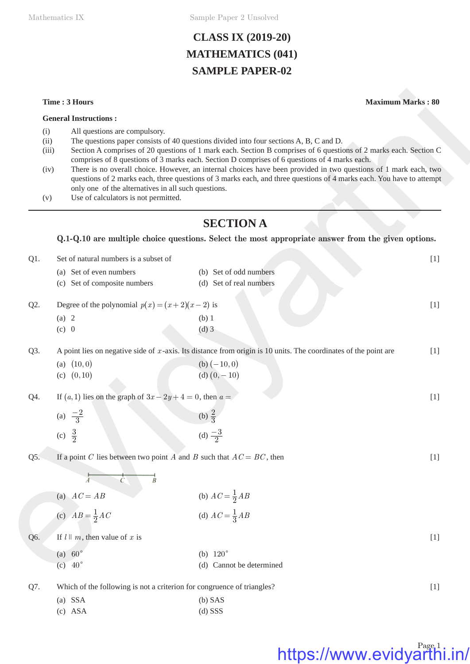Mathematics IX Sample Paper 2 Unsolved

### **CLASS IX (2019-20) MATHEMATICS (041) SAMPLE PAPER-02**

### **General Instructions :**

- (i) All questions are compulsory.
- (ii) The questions paper consists of 40 questions divided into four sections A, B, C and D.
- (iii) Section A comprises of 20 questions of 1 mark each. Section B comprises of 6 questions of 2 marks each. Section C comprises of 8 questions of 3 marks each. Section D comprises of 6 questions of 4 marks each.
- (iv) There is no overall choice. However, an internal choices have been provided in two questions of 1 mark each, two questions of 2 marks each, three questions of 3 marks each, and three questions of 4 marks each. You have to attempt only one of the alternatives in all such questions.
- (v) Use of calculators is not permitted.

### **SECTION A**

### **Q.1-Q.10 are multiple choice questions. Select the most appropriate answer from the given options.**

|                                                                                                                                                                     | Time: 3 Hours                                                                                                            |                                                                                                                                                                                                                                                                                                                                                                                                                                                                                                                                                          | <b>Maximum Marks: 80</b> |
|---------------------------------------------------------------------------------------------------------------------------------------------------------------------|--------------------------------------------------------------------------------------------------------------------------|----------------------------------------------------------------------------------------------------------------------------------------------------------------------------------------------------------------------------------------------------------------------------------------------------------------------------------------------------------------------------------------------------------------------------------------------------------------------------------------------------------------------------------------------------------|--------------------------|
|                                                                                                                                                                     | <b>General Instructions:</b>                                                                                             |                                                                                                                                                                                                                                                                                                                                                                                                                                                                                                                                                          |                          |
| All questions are compulsory.<br>(i)<br>(ii)<br>(iii)<br>(iv)<br>only one of the alternatives in all such questions.<br>Use of calculators is not permitted.<br>(v) |                                                                                                                          | The questions paper consists of 40 questions divided into four sections A, B, C and D.<br>Section A comprises of 20 questions of 1 mark each. Section B comprises of 6 questions of 2 marks each. Section C<br>comprises of 8 questions of 3 marks each. Section D comprises of 6 questions of 4 marks each.<br>There is no overall choice. However, an internal choices have been provided in two questions of 1 mark each, two<br>questions of 2 marks each, three questions of 3 marks each, and three questions of 4 marks each. You have to attempt |                          |
|                                                                                                                                                                     |                                                                                                                          | <b>SECTION A</b>                                                                                                                                                                                                                                                                                                                                                                                                                                                                                                                                         |                          |
|                                                                                                                                                                     |                                                                                                                          | Q.1-Q.10 are multiple choice questions. Select the most appropriate answer from the given options.                                                                                                                                                                                                                                                                                                                                                                                                                                                       |                          |
| $Q1$ .                                                                                                                                                              | Set of natural numbers is a subset of                                                                                    |                                                                                                                                                                                                                                                                                                                                                                                                                                                                                                                                                          | $[1]$                    |
|                                                                                                                                                                     | (a) Set of even numbers<br>(c) Set of composite numbers                                                                  | (b) Set of odd numbers<br>(d) Set of real numbers                                                                                                                                                                                                                                                                                                                                                                                                                                                                                                        |                          |
| Q2.                                                                                                                                                                 | Degree of the polynomial $p(x) = (x+2)(x-2)$ is                                                                          |                                                                                                                                                                                                                                                                                                                                                                                                                                                                                                                                                          | $[1]$                    |
|                                                                                                                                                                     | (a) 2                                                                                                                    | $(b)$ 1                                                                                                                                                                                                                                                                                                                                                                                                                                                                                                                                                  |                          |
|                                                                                                                                                                     | (c) 0                                                                                                                    | $(d)$ 3                                                                                                                                                                                                                                                                                                                                                                                                                                                                                                                                                  |                          |
| Q3.                                                                                                                                                                 | A point lies on negative side of x-axis. Its distance from origin is 10 units. The coordinates of the point are<br>$[1]$ |                                                                                                                                                                                                                                                                                                                                                                                                                                                                                                                                                          |                          |
|                                                                                                                                                                     | (a) $(10, 0)$                                                                                                            | (b) $(-10, 0)$                                                                                                                                                                                                                                                                                                                                                                                                                                                                                                                                           |                          |
|                                                                                                                                                                     | (c) $(0, 10)$                                                                                                            | (d) $(0, -10)$                                                                                                                                                                                                                                                                                                                                                                                                                                                                                                                                           |                          |
| Q4.                                                                                                                                                                 | If $(a, 1)$ lies on the graph of $3x - 2y + 4 = 0$ , then $a = 1$                                                        |                                                                                                                                                                                                                                                                                                                                                                                                                                                                                                                                                          | $[1]$                    |
|                                                                                                                                                                     | (a) $\frac{-2}{3}$                                                                                                       | (b) $\frac{2}{3}$                                                                                                                                                                                                                                                                                                                                                                                                                                                                                                                                        |                          |
|                                                                                                                                                                     | (c) $\frac{3}{2}$                                                                                                        | (d) $\frac{-3}{2}$                                                                                                                                                                                                                                                                                                                                                                                                                                                                                                                                       |                          |
| Q5.                                                                                                                                                                 | If a point C lies between two point A and B such that $AC = BC$ , then                                                   |                                                                                                                                                                                                                                                                                                                                                                                                                                                                                                                                                          | $[1]$                    |
|                                                                                                                                                                     | Β                                                                                                                        |                                                                                                                                                                                                                                                                                                                                                                                                                                                                                                                                                          |                          |
|                                                                                                                                                                     | (a) $AC = AB$                                                                                                            |                                                                                                                                                                                                                                                                                                                                                                                                                                                                                                                                                          |                          |
|                                                                                                                                                                     | (c) $AB = \frac{1}{2}AC$                                                                                                 | (b) $AC = \frac{1}{2}AB$<br>(d) $AC = \frac{1}{3}AB$                                                                                                                                                                                                                                                                                                                                                                                                                                                                                                     |                          |
| Q6.                                                                                                                                                                 | If $l \parallel m$ , then value of x is                                                                                  |                                                                                                                                                                                                                                                                                                                                                                                                                                                                                                                                                          | $[1]$                    |
|                                                                                                                                                                     | (a) $60^\circ$                                                                                                           | (b) $120^\circ$                                                                                                                                                                                                                                                                                                                                                                                                                                                                                                                                          |                          |
|                                                                                                                                                                     | $\left( c\right)$ 40°                                                                                                    | (d) Cannot be determined                                                                                                                                                                                                                                                                                                                                                                                                                                                                                                                                 |                          |
| Q7.                                                                                                                                                                 | Which of the following is not a criterion for congruence of triangles?                                                   |                                                                                                                                                                                                                                                                                                                                                                                                                                                                                                                                                          | $[1]$                    |
|                                                                                                                                                                     | $(a)$ SSA                                                                                                                | $(b)$ SAS                                                                                                                                                                                                                                                                                                                                                                                                                                                                                                                                                |                          |
|                                                                                                                                                                     | $(c)$ ASA                                                                                                                | $(d)$ SSS                                                                                                                                                                                                                                                                                                                                                                                                                                                                                                                                                |                          |

## https://www.evidyarthi.in/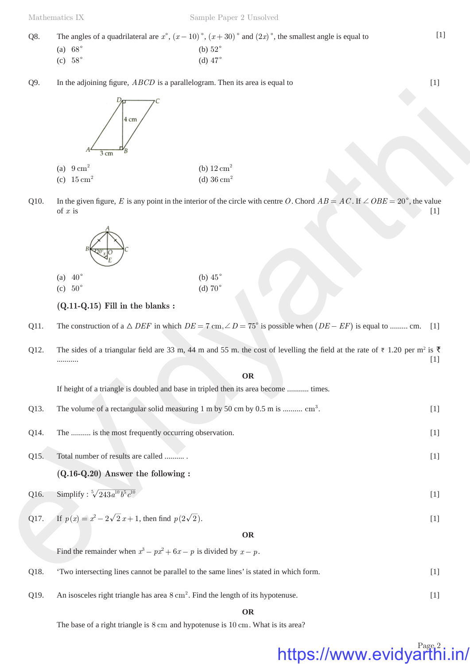| O8. | The angles of a quadrilateral are $x^{\circ}$ , $(x-10)^{\circ}$ , $(x+30)^{\circ}$ and $(2x)^{\circ}$ , the smallest angle is equal to |                |  |  |  |
|-----|-----------------------------------------------------------------------------------------------------------------------------------------|----------------|--|--|--|
|     | (a) $68^\circ$                                                                                                                          | (b) $52^\circ$ |  |  |  |
|     | $(c)$ 58 $^{\circ}$                                                                                                                     | (d) $47^\circ$ |  |  |  |

Q9. In the adjoining figure,  $ABCD$  is a parallelogram. Then its area is equal to  $[1]$ 



Q10. In the given figure, *E* is any point in the interior of the circle with centre *O*. Chord  $AB = AC$ . If  $\angle OBE = 20^{\circ}$ , the value of *x* is of x is  $[1]$ 



### **(Q.11-Q.15) Fill in the blanks :**

- Q11. The construction of a  $\triangle$  *DEF* in which  $DE = 7$  cm,  $\angle D = 75^{\circ}$  is possible when  $(DE EF)$  is equal to ......... cm. [1]
- Q12. The sides of a triangular field are 33 m, 44 m and 55 m. the cost of levelling the field at the rate of  $\bar{\tau}$  1.20 per m<sup>2</sup> is  $\bar{\tau}$ ........... [1]

**OR**

If height of a triangle is doubled and base in tripled then its area become ........... times.

- Q13. The volume of a rectangular solid measuring 1 m by 50 cm by 0.5 m is ..........  $cm<sup>3</sup>$ . .  $[1]$
- Q14. The .......... is the most frequently occurring observation. [1]

Q15. Total number of results are called .......... . [1]

**(Q.16-Q.20) Answer the following :**

$$
Q16. \qquad \text{Simplify}: \sqrt[5]{243a^{10}b^5c^{10}} \tag{1}
$$

### Q17. If  $p(x) = x^2 - 2\sqrt{2}x + 1$ , then find  $p(2\sqrt{2})$ . [1]

**OR**

Find the remainder when  $x^3 - px^2 + 6x - p$  is divided by  $x - p$ .

Q18. 'Two intersecting lines cannot be parallel to the same lines' is stated in which form. [1] Q19. An isosceles right triangle has area  $8 \text{ cm}^2$ . Find the length of its hypotenuse. [1]

**OR**

The base of a right triangle is 8 cm and hypotenuse is 10 cm. What is its area?

## https://www.evidyarthi.in/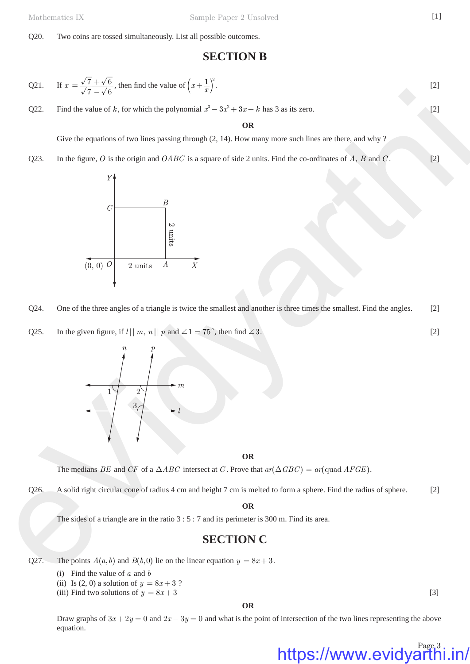Q20. Two coins are tossed simultaneously. List all possible outcomes.

### **SECTION B**

Q21. If 
$$
x = \frac{\sqrt{7} + \sqrt{6}}{\sqrt{7} - \sqrt{6}}
$$
, then find the value of  $\left(x + \frac{1}{x}\right)^2$ . [2]

Q22. Find the value of *k*, for which the polynomial  $x^3 - 3x^2 + 3x + k$  has 3 as its zero. [2]

**OR**

Give the equations of two lines passing through (2, 14). How many more such lines are there, and why ?

Q23. In the figure, *O* is the origin and *OABC* is a square of side 2 units. Find the co-ordinates of *A*, *B* and *C*. [2]



Q24. One of the three angles of a triangle is twice the smallest and another is three times the smallest. Find the angles. [2]

Q25. In the given figure, if  $l \mid |m, n| \mid p$  and  $\angle 1 = 75^\circ$ , then find  $\angle 3$ . [2]



**OR**

The medians *BE* and *CF* of a  $\triangle ABC$  intersect at *G*. Prove that  $ar(\triangle GBC) = ar(quad AFGE)$ .

Q26. A solid right circular cone of radius 4 cm and height 7 cm is melted to form a sphere. Find the radius of sphere. [2]

**OR**

The sides of a triangle are in the ratio 3 : 5 : 7 and its perimeter is 300 m. Find its area.

### **SECTION C**

Q27. The points  $A(a, b)$  and  $B(b, 0)$  lie on the linear equation  $y = 8x + 3$ .

- (i) Find the value of *a* and *b*
- (ii) Is (2, 0) a solution of  $y = 8x + 3$ ?

(iii) Find two solutions of  $y = 8x + 3$  [3]

**OR**

https://www.evidyarthi.in/

Draw graphs of  $3x + 2y = 0$  and  $2x - 3y = 0$  and what is the point of intersection of the two lines representing the above equation.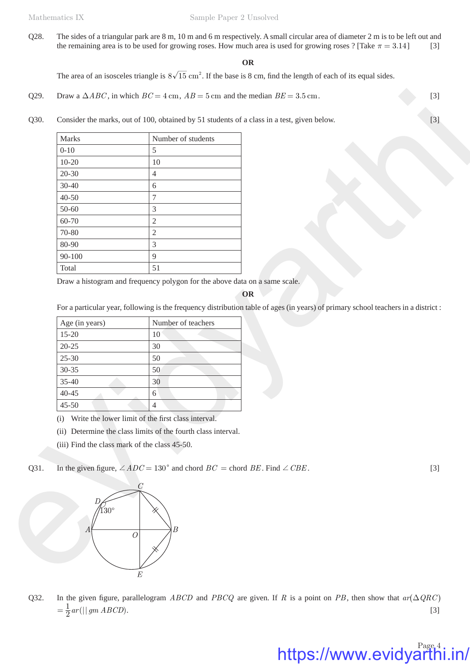Q28. The sides of a triangular park are 8 m, 10 m and 6 m respectively. A small circular area of diameter 2 m is to be left out and the remaining area is to be used for growing roses. How much area is used for growing roses ? [Take  $\pi = 3.14$  [3]

### **OR**

The area of an isosceles triangle is  $8\sqrt{15}$  cm<sup>2</sup>. If the base is 8 cm, find the length of each of its equal sides.

- Q29. Draw a  $\triangle ABC$ , in which  $BC = 4$  cm,  $AB = 5$  cm and the median  $BE = 3.5$  cm. [3]
- Q30. Consider the marks, out of 100, obtained by 51 students of a class in a test, given below. [3]

| Marks                                         | Number of students                                                                                                                                       |       |
|-----------------------------------------------|----------------------------------------------------------------------------------------------------------------------------------------------------------|-------|
| $0 - 10$                                      |                                                                                                                                                          |       |
| $10 - 20$                                     | 5<br>10                                                                                                                                                  |       |
|                                               |                                                                                                                                                          |       |
| $20 - 30$<br>$30 - 40$                        | $\overline{4}$                                                                                                                                           |       |
| $40 - 50$                                     | 6<br>$\boldsymbol{7}$                                                                                                                                    |       |
| 50-60                                         |                                                                                                                                                          |       |
|                                               | $\mathfrak{Z}$                                                                                                                                           |       |
| 60-70                                         | $\sqrt{2}$                                                                                                                                               |       |
| 70-80                                         | $\mathbf{2}$                                                                                                                                             |       |
| 80-90<br>$90 - 100$                           | $\mathfrak{Z}$<br>9                                                                                                                                      |       |
| Total                                         | 51                                                                                                                                                       |       |
|                                               | Draw a histogram and frequency polygon for the above data on a same scale.                                                                               |       |
| Age (in years)                                | For a particular year, following is the frequency distribution table of ages (in years) of primary school teachers in a district :<br>Number of teachers |       |
|                                               |                                                                                                                                                          |       |
| $15 - 20$                                     | 10                                                                                                                                                       |       |
| $20 - 25$                                     | 30                                                                                                                                                       |       |
| $25 - 30$                                     | 50                                                                                                                                                       |       |
| 30-35                                         | 50                                                                                                                                                       |       |
| 35-40                                         | 30                                                                                                                                                       |       |
|                                               |                                                                                                                                                          |       |
| $40 - 45$                                     | 6                                                                                                                                                        |       |
| $45 - 50$                                     | 4                                                                                                                                                        |       |
|                                               | (i) Write the lower limit of the first class interval.                                                                                                   |       |
|                                               | (ii) Determine the class limits of the fourth class interval.                                                                                            |       |
| (iii) Find the class mark of the class 45-50. |                                                                                                                                                          |       |
|                                               | In the given figure, $\angle ADC = 130^{\circ}$ and chord $BC =$ chord BE. Find $\angle CBE$ .                                                           | $[3]$ |

#### **OR**

| Age (in years) | Number of teachers |
|----------------|--------------------|
| $15 - 20$      | 10                 |
| $20 - 25$      | 30                 |
| $25 - 30$      | 50                 |
| $30 - 35$      | 50                 |
| $35 - 40$      | 30                 |
| $40 - 45$      | 6                  |
| $45 - 50$      |                    |

https://www.evidyarthi.in/



Q32. In the given figure, parallelogram *ABCD* and *PBCQ* are given. If *R* is a point on *PB*, then show that  $ar(\Delta QRC)$  $=\frac{1}{2} ar (||g \sin A BCD).$  [3]